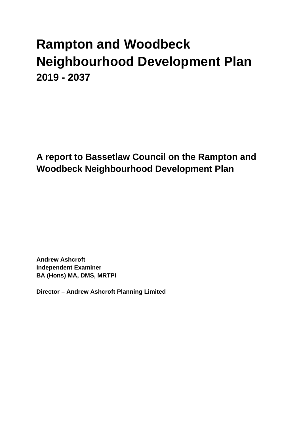# **Rampton and Woodbeck Neighbourhood Development Plan 2019 - 2037**

**A report to Bassetlaw Council on the Rampton and Woodbeck Neighbourhood Development Plan**

**Andrew Ashcroft Independent Examiner BA (Hons) MA, DMS, MRTPI**

**Director – Andrew Ashcroft Planning Limited**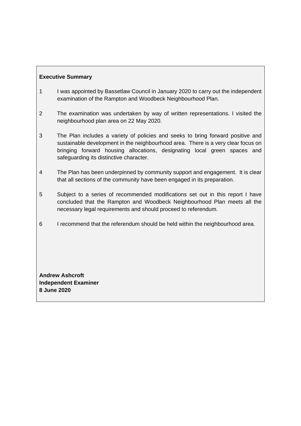# **Executive Summary**

- 1 I was appointed by Bassetlaw Council in January 2020 to carry out the independent examination of the Rampton and Woodbeck Neighbourhood Plan.
- 2 The examination was undertaken by way of written representations. I visited the neighbourhood plan area on 22 May 2020.
- 3 The Plan includes a variety of policies and seeks to bring forward positive and sustainable development in the neighbourhood area. There is a very clear focus on bringing forward housing allocations, designating local green spaces and safeguarding its distinctive character.
- 4 The Plan has been underpinned by community support and engagement. It is clear that all sections of the community have been engaged in its preparation.
- 5 Subject to a series of recommended modifications set out in this report I have concluded that the Rampton and Woodbeck Neighbourhood Plan meets all the necessary legal requirements and should proceed to referendum.
- 6 I recommend that the referendum should be held within the neighbourhood area.

**Andrew Ashcroft Independent Examiner 8 June 2020**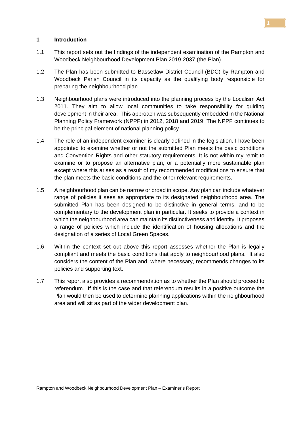#### **1 Introduction**

- 1.1 This report sets out the findings of the independent examination of the Rampton and Woodbeck Neighbourhood Development Plan 2019-2037 (the Plan).
- 1.2 The Plan has been submitted to Bassetlaw District Council (BDC) by Rampton and Woodbeck Parish Council in its capacity as the qualifying body responsible for preparing the neighbourhood plan.
- 1.3 Neighbourhood plans were introduced into the planning process by the Localism Act 2011. They aim to allow local communities to take responsibility for guiding development in their area. This approach was subsequently embedded in the National Planning Policy Framework (NPPF) in 2012, 2018 and 2019. The NPPF continues to be the principal element of national planning policy.
- 1.4 The role of an independent examiner is clearly defined in the legislation. I have been appointed to examine whether or not the submitted Plan meets the basic conditions and Convention Rights and other statutory requirements. It is not within my remit to examine or to propose an alternative plan, or a potentially more sustainable plan except where this arises as a result of my recommended modifications to ensure that the plan meets the basic conditions and the other relevant requirements.
- 1.5 A neighbourhood plan can be narrow or broad in scope. Any plan can include whatever range of policies it sees as appropriate to its designated neighbourhood area. The submitted Plan has been designed to be distinctive in general terms, and to be complementary to the development plan in particular. It seeks to provide a context in which the neighbourhood area can maintain its distinctiveness and identity. It proposes a range of policies which include the identification of housing allocations and the designation of a series of Local Green Spaces.
- 1.6 Within the context set out above this report assesses whether the Plan is legally compliant and meets the basic conditions that apply to neighbourhood plans. It also considers the content of the Plan and, where necessary, recommends changes to its policies and supporting text.
- 1.7 This report also provides a recommendation as to whether the Plan should proceed to referendum. If this is the case and that referendum results in a positive outcome the Plan would then be used to determine planning applications within the neighbourhood area and will sit as part of the wider development plan.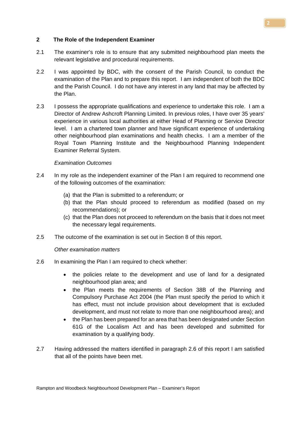#### **2 The Role of the Independent Examiner**

- 2.1 The examiner's role is to ensure that any submitted neighbourhood plan meets the relevant legislative and procedural requirements.
- 2.2 I was appointed by BDC, with the consent of the Parish Council, to conduct the examination of the Plan and to prepare this report. I am independent of both the BDC and the Parish Council. I do not have any interest in any land that may be affected by the Plan.
- 2.3 I possess the appropriate qualifications and experience to undertake this role. I am a Director of Andrew Ashcroft Planning Limited. In previous roles, I have over 35 years' experience in various local authorities at either Head of Planning or Service Director level. I am a chartered town planner and have significant experience of undertaking other neighbourhood plan examinations and health checks. I am a member of the Royal Town Planning Institute and the Neighbourhood Planning Independent Examiner Referral System.

#### *Examination Outcomes*

- 2.4 In my role as the independent examiner of the Plan I am required to recommend one of the following outcomes of the examination:
	- (a) that the Plan is submitted to a referendum; or
	- (b) that the Plan should proceed to referendum as modified (based on my recommendations); or
	- (c) that the Plan does not proceed to referendum on the basis that it does not meet the necessary legal requirements.
- 2.5 The outcome of the examination is set out in Section 8 of this report.

#### *Other examination matters*

- 2.6 In examining the Plan I am required to check whether:
	- the policies relate to the development and use of land for a designated neighbourhood plan area; and
	- the Plan meets the requirements of Section 38B of the Planning and Compulsory Purchase Act 2004 (the Plan must specify the period to which it has effect, must not include provision about development that is excluded development, and must not relate to more than one neighbourhood area); and
	- the Plan has been prepared for an area that has been designated under Section 61G of the Localism Act and has been developed and submitted for examination by a qualifying body.
- 2.7 Having addressed the matters identified in paragraph 2.6 of this report I am satisfied that all of the points have been met.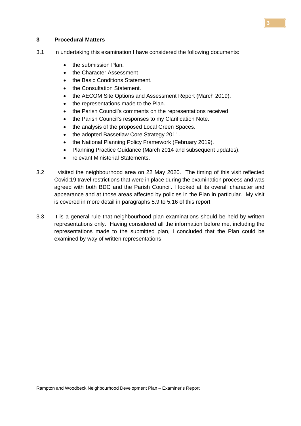#### **3 Procedural Matters**

- 3.1 In undertaking this examination I have considered the following documents:
	- the submission Plan.
	- the Character Assessment
	- the Basic Conditions Statement.
	- the Consultation Statement.
	- the AECOM Site Options and Assessment Report (March 2019).
	- the representations made to the Plan.
	- the Parish Council's comments on the representations received.
	- the Parish Council's responses to my Clarification Note.
	- the analysis of the proposed Local Green Spaces.
	- the adopted Bassetlaw Core Strategy 2011.
	- the National Planning Policy Framework (February 2019).
	- Planning Practice Guidance (March 2014 and subsequent updates).
	- relevant Ministerial Statements.
- 3.2 I visited the neighbourhood area on 22 May 2020. The timing of this visit reflected Covid:19 travel restrictions that were in place during the examination process and was agreed with both BDC and the Parish Council. I looked at its overall character and appearance and at those areas affected by policies in the Plan in particular. My visit is covered in more detail in paragraphs 5.9 to 5.16 of this report.
- 3.3 It is a general rule that neighbourhood plan examinations should be held by written representations only. Having considered all the information before me, including the representations made to the submitted plan, I concluded that the Plan could be examined by way of written representations.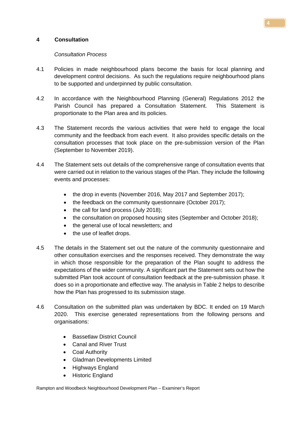# **4 Consultation**

# *Consultation Process*

- 4.1 Policies in made neighbourhood plans become the basis for local planning and development control decisions. As such the regulations require neighbourhood plans to be supported and underpinned by public consultation.
- 4.2 In accordance with the Neighbourhood Planning (General) Regulations 2012 the Parish Council has prepared a Consultation Statement. This Statement is proportionate to the Plan area and its policies.
- 4.3 The Statement records the various activities that were held to engage the local community and the feedback from each event. It also provides specific details on the consultation processes that took place on the pre-submission version of the Plan (September to November 2019).
- 4.4 The Statement sets out details of the comprehensive range of consultation events that were carried out in relation to the various stages of the Plan. They include the following events and processes:
	- the drop in events (November 2016, May 2017 and September 2017);
	- the feedback on the community questionnaire (October 2017):
	- the call for land process (July 2018);
	- the consultation on proposed housing sites (September and October 2018);
	- the general use of local newsletters; and
	- the use of leaflet drops.
- 4.5 The details in the Statement set out the nature of the community questionnaire and other consultation exercises and the responses received. They demonstrate the way in which those responsible for the preparation of the Plan sought to address the expectations of the wider community. A significant part the Statement sets out how the submitted Plan took account of consultation feedback at the pre-submission phase. It does so in a proportionate and effective way. The analysis in Table 2 helps to describe how the Plan has progressed to its submission stage.
- 4.6 Consultation on the submitted plan was undertaken by BDC. It ended on 19 March 2020. This exercise generated representations from the following persons and organisations:
	- Bassetlaw District Council
	- Canal and River Trust
	- Coal Authority
	- Gladman Developments Limited
	- Highways England
	- Historic England

Rampton and Woodbeck Neighbourhood Development Plan – Examiner's Report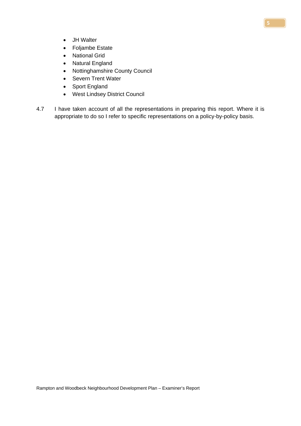- JH Walter
- Foljambe Estate
- National Grid
- Natural England
- Nottinghamshire County Council
- Severn Trent Water
- Sport England
- West Lindsey District Council
- 4.7 I have taken account of all the representations in preparing this report. Where it is appropriate to do so I refer to specific representations on a policy-by-policy basis.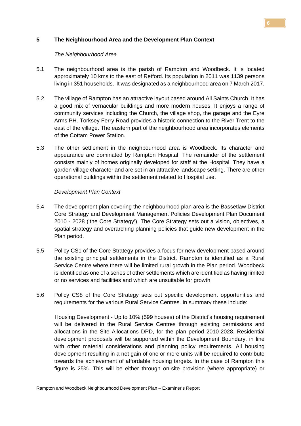# **5 The Neighbourhood Area and the Development Plan Context**

#### *The Neighbourhood Area*

- 5.1 The neighbourhood area is the parish of Rampton and Woodbeck. It is located approximately 10 kms to the east of Retford. Its population in 2011 was 1139 persons living in 351 households. It was designated as a neighbourhood area on 7 March 2017.
- 5.2 The village of Rampton has an attractive layout based around All Saints Church. It has a good mix of vernacular buildings and more modern houses. It enjoys a range of community services including the Church, the village shop, the garage and the Eyre Arms PH. Torksey Ferry Road provides a historic connection to the River Trent to the east of the village. The eastern part of the neighbourhood area incorporates elements of the Cottam Power Station.
- 5.3 The other settlement in the neighbourhood area is Woodbeck. Its character and appearance are dominated by Rampton Hospital. The remainder of the settlement consists mainly of homes originally developed for staff at the Hospital. They have a garden village character and are set in an attractive landscape setting. There are other operational buildings within the settlement related to Hospital use.

# *Development Plan Context*

- 5.4 The development plan covering the neighbourhood plan area is the Bassetlaw District Core Strategy and Development Management Policies Development Plan Document 2010 - 2028 ('the Core Strategy'). The [Core Strategy](http://molevalley-consult.limehouse.co.uk/portal/cs/cs_-_adopted_oct_2009/core_strategy_-_adopted_october_2009_1?pointId=906692) sets out a vision, objectives, a spatial strategy and overarching planning policies that guide new development in the Plan period.
- 5.5 Policy CS1 of the Core Strategy provides a focus for new development based around the existing principal settlements in the District. Rampton is identified as a Rural Service Centre where there will be limited rural growth in the Plan period. Woodbeck is identified as one of a series of other settlements which are identified as having limited or no services and facilities and which are unsuitable for growth
- 5.6 Policy CS8 of the Core Strategy sets out specific development opportunities and requirements for the various Rural Service Centres. In summary these include:

Housing Development - Up to 10% (599 houses) of the District's housing requirement will be delivered in the Rural Service Centres through existing permissions and allocations in the Site Allocations DPD, for the plan period 2010-2028. Residential development proposals will be supported within the Development Boundary, in line with other material considerations and planning policy requirements. All housing development resulting in a net gain of one or more units will be required to contribute towards the achievement of affordable housing targets. In the case of Rampton this figure is 25%. This will be either through on-site provision (where appropriate) or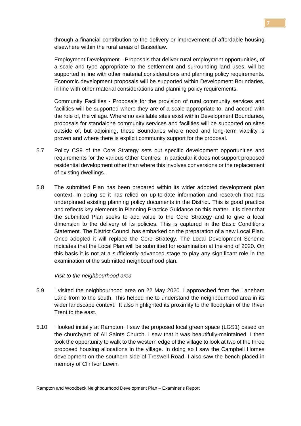through a financial contribution to the delivery or improvement of affordable housing elsewhere within the rural areas of Bassetlaw.

Employment Development - Proposals that deliver rural employment opportunities, of a scale and type appropriate to the settlement and surrounding land uses, will be supported in line with other material considerations and planning policy requirements. Economic development proposals will be supported within Development Boundaries, in line with other material considerations and planning policy requirements.

Community Facilities - Proposals for the provision of rural community services and facilities will be supported where they are of a scale appropriate to, and accord with the role of, the village. Where no available sites exist within Development Boundaries, proposals for standalone community services and facilities will be supported on sites outside of, but adjoining, these Boundaries where need and long-term viability is proven and where there is explicit community support for the proposal.

- 5.7 Policy CS9 of the Core Strategy sets out specific development opportunities and requirements for the various Other Centres. In particular it does not support proposed residential development other than where this involves conversions or the replacement of existing dwellings.
- 5.8 The submitted Plan has been prepared within its wider adopted development plan context. In doing so it has relied on up-to-date information and research that has underpinned existing planning policy documents in the District. This is good practice and reflects key elements in Planning Practice Guidance on this matter. It is clear that the submitted Plan seeks to add value to the Core Strategy and to give a local dimension to the delivery of its policies. This is captured in the Basic Conditions Statement. The District Council has embarked on the preparation of a new Local Plan. Once adopted it will replace the Core Strategy. The Local Development Scheme indicates that the Local Plan will be submitted for examination at the end of 2020. On this basis it is not at a sufficiently-advanced stage to play any significant role in the examination of the submitted neighbourhood plan.

#### *Visit to the neighbourhood area*

- 5.9 I visited the neighbourhood area on 22 May 2020. I approached from the Laneham Lane from to the south. This helped me to understand the neighbourhood area in its wider landscape context. It also highlighted its proximity to the floodplain of the River Trent to the east.
- 5.10 I looked initially at Rampton. I saw the proposed local green space (LGS1) based on the churchyard of All Saints Church. I saw that it was beautifully-maintained. I then took the opportunity to walk to the western edge of the village to look at two of the three proposed housing allocations in the village. In doing so I saw the Campbell Homes development on the southern side of Treswell Road. I also saw the bench placed in memory of Cllr Ivor Lewin.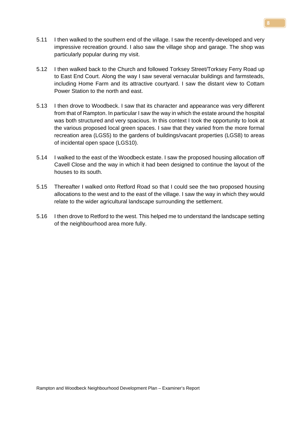- 5.11 I then walked to the southern end of the village. I saw the recently-developed and very impressive recreation ground. I also saw the village shop and garage. The shop was particularly popular during my visit.
- 5.12 I then walked back to the Church and followed Torksey Street/Torksey Ferry Road up to East End Court. Along the way I saw several vernacular buildings and farmsteads, including Home Farm and its attractive courtyard. I saw the distant view to Cottam Power Station to the north and east.
- 5.13 I then drove to Woodbeck. I saw that its character and appearance was very different from that of Rampton. In particular I saw the way in which the estate around the hospital was both structured and very spacious. In this context I took the opportunity to look at the various proposed local green spaces. I saw that they varied from the more formal recreation area (LGS5) to the gardens of buildings/vacant properties (LGS8) to areas of incidental open space (LGS10).
- 5.14 I walked to the east of the Woodbeck estate. I saw the proposed housing allocation off Cavell Close and the way in which it had been designed to continue the layout of the houses to its south.
- 5.15 Thereafter I walked onto Retford Road so that I could see the two proposed housing allocations to the west and to the east of the village. I saw the way in which they would relate to the wider agricultural landscape surrounding the settlement.
- 5.16 I then drove to Retford to the west. This helped me to understand the landscape setting of the neighbourhood area more fully.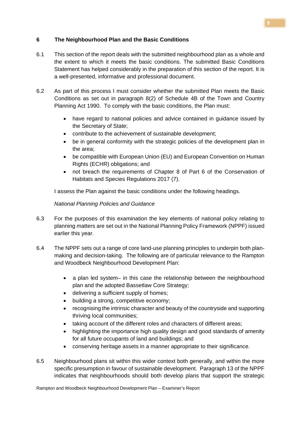# **6 The Neighbourhood Plan and the Basic Conditions**

- 6.1 This section of the report deals with the submitted neighbourhood plan as a whole and the extent to which it meets the basic conditions. The submitted Basic Conditions Statement has helped considerably in the preparation of this section of the report. It is a well-presented, informative and professional document.
- 6.2 As part of this process I must consider whether the submitted Plan meets the Basic Conditions as set out in paragraph 8(2) of Schedule 4B of the Town and Country Planning Act 1990. To comply with the basic conditions, the Plan must:
	- have regard to national policies and advice contained in guidance issued by the Secretary of State;
	- contribute to the achievement of sustainable development;
	- be in general conformity with the strategic policies of the development plan in the area;
	- be compatible with European Union (EU) and European Convention on Human Rights (ECHR) obligations; and
	- not breach the requirements of Chapter 8 of Part 6 of the Conservation of Habitats and Species Regulations 2017 (7).

I assess the Plan against the basic conditions under the following headings.

# *National Planning Policies and Guidance*

- 6.3 For the purposes of this examination the key elements of national policy relating to planning matters are set out in the National Planning Policy Framework (NPPF) issued earlier this year.
- 6.4 The NPPF sets out a range of core land-use planning principles to underpin both planmaking and decision-taking. The following are of particular relevance to the Rampton and Woodbeck Neighbourhood Development Plan:
	- a plan led system– in this case the relationship between the neighbourhood plan and the adopted Bassetlaw Core Strategy;
	- delivering a sufficient supply of homes;
	- building a strong, competitive economy;
	- recognising the intrinsic character and beauty of the countryside and supporting thriving local communities;
	- taking account of the different roles and characters of different areas;
	- highlighting the importance high quality design and good standards of amenity for all future occupants of land and buildings; and
	- conserving heritage assets in a manner appropriate to their significance.
- 6.5 Neighbourhood plans sit within this wider context both generally, and within the more specific presumption in favour of sustainable development. Paragraph 13 of the NPPF indicates that neighbourhoods should both develop plans that support the strategic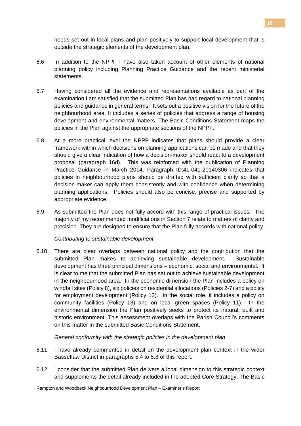needs set out in local plans and plan positively to support local development that is outside the strategic elements of the development plan.

- 6.6 In addition to the NPPF I have also taken account of other elements of national planning policy including Planning Practice Guidance and the recent ministerial statements.
- 6.7 Having considered all the evidence and representations available as part of the examination I am satisfied that the submitted Plan has had regard to national planning policies and guidance in general terms. It sets out a positive vision for the future of the neighbourhood area. It includes a series of policies that address a range of housing development and environmental matters. The Basic Conditions Statement maps the policies in the Plan against the appropriate sections of the NPPF.
- 6.8 At a more practical level the NPPF indicates that plans should provide a clear framework within which decisions on planning applications can be made and that they should give a clear indication of how a decision-maker should react to a development proposal (paragraph 16d). This was reinforced with the publication of Planning Practice Guidance in March 2014. Paragraph ID:41-041-20140306 indicates that policies in neighbourhood plans should be drafted with sufficient clarity so that a decision-maker can apply them consistently and with confidence when determining planning applications. Policies should also be concise, precise and supported by appropriate evidence.
- 6.9 As submitted the Plan does not fully accord with this range of practical issues. The majority of my recommended modifications in Section 7 relate to matters of clarity and precision. They are designed to ensure that the Plan fully accords with national policy.

# *Contributing to sustainable development*

6.10 There are clear overlaps between national policy and the contribution that the submitted Plan makes to achieving sustainable development. Sustainable development has three principal dimensions – economic, social and environmental. It is clear to me that the submitted Plan has set out to achieve sustainable development in the neighbourhood area. In the economic dimension the Plan includes a policy on windfall sites (Policy 8), six policies on residential allocations (Policies 2-7) and a policy for employment development (Policy 12). In the social role, it includes a policy on community facilities (Policy 13) and on local green spaces (Policy 11). In the environmental dimension the Plan positively seeks to protect its natural, built and historic environment. This assessment overlaps with the Parish Council's comments on this matter in the submitted Basic Conditions Statement.

*General conformity with the strategic policies in the development plan*

- 6.11 I have already commented in detail on the development plan context in the wider Bassetlaw District in paragraphs 5.4 to 5.8 of this report.
- 6.12 I consider that the submitted Plan delivers a local dimension to this strategic context and supplements the detail already included in the adopted Core Strategy. The Basic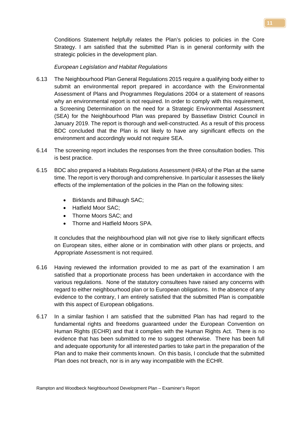Conditions Statement helpfully relates the Plan's policies to policies in the Core Strategy. I am satisfied that the submitted Plan is in general conformity with the strategic policies in the development plan.

#### *European Legislation and Habitat Regulations*

- 6.13 The Neighbourhood Plan General Regulations 2015 require a qualifying body either to submit an environmental report prepared in accordance with the Environmental Assessment of Plans and Programmes Regulations 2004 or a statement of reasons why an environmental report is not required. In order to comply with this requirement, a Screening Determination on the need for a Strategic Environmental Assessment (SEA) for the Neighbourhood Plan was prepared by Bassetlaw District Council in January 2019. The report is thorough and well-constructed. As a result of this process BDC concluded that the Plan is not likely to have any significant effects on the environment and accordingly would not require SEA.
- 6.14 The screening report includes the responses from the three consultation bodies. This is best practice.
- 6.15 BDC also prepared a Habitats Regulations Assessment (HRA) of the Plan at the same time. The report is very thorough and comprehensive. In particular it assesses the likely effects of the implementation of the policies in the Plan on the following sites:
	- Birklands and Bilhaugh SAC;
	- Hatfield Moor SAC;
	- Thorne Moors SAC; and
	- Thorne and Hatfield Moors SPA.

It concludes that the neighbourhood plan will not give rise to likely significant effects on European sites, either alone or in combination with other plans or projects, and Appropriate Assessment is not required.

- 6.16 Having reviewed the information provided to me as part of the examination I am satisfied that a proportionate process has been undertaken in accordance with the various regulations. None of the statutory consultees have raised any concerns with regard to either neighbourhood plan or to European obligations. In the absence of any evidence to the contrary, I am entirely satisfied that the submitted Plan is compatible with this aspect of European obligations.
- 6.17 In a similar fashion I am satisfied that the submitted Plan has had regard to the fundamental rights and freedoms guaranteed under the European Convention on Human Rights (ECHR) and that it complies with the Human Rights Act. There is no evidence that has been submitted to me to suggest otherwise. There has been full and adequate opportunity for all interested parties to take part in the preparation of the Plan and to make their comments known. On this basis, I conclude that the submitted Plan does not breach, nor is in any way incompatible with the ECHR.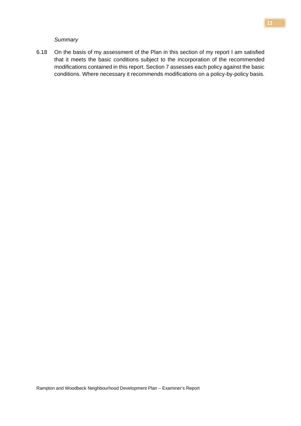*Summary*

6.18 On the basis of my assessment of the Plan in this section of my report I am satisfied that it meets the basic conditions subject to the incorporation of the recommended modifications contained in this report. Section 7 assesses each policy against the basic conditions. Where necessary it recommends modifications on a policy-by-policy basis.

**12**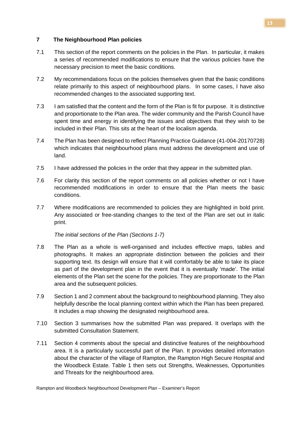#### **7 The Neighbourhood Plan policies**

- 7.1 This section of the report comments on the policies in the Plan. In particular, it makes a series of recommended modifications to ensure that the various policies have the necessary precision to meet the basic conditions.
- 7.2 My recommendations focus on the policies themselves given that the basic conditions relate primarily to this aspect of neighbourhood plans. In some cases, I have also recommended changes to the associated supporting text.
- 7.3 I am satisfied that the content and the form of the Plan is fit for purpose. It is distinctive and proportionate to the Plan area. The wider community and the Parish Council have spent time and energy in identifying the issues and objectives that they wish to be included in their Plan. This sits at the heart of the localism agenda.
- 7.4 The Plan has been designed to reflect Planning Practice Guidance (41-004-20170728) which indicates that neighbourhood plans must address the development and use of land.
- 7.5 I have addressed the policies in the order that they appear in the submitted plan.
- 7.6 For clarity this section of the report comments on all policies whether or not I have recommended modifications in order to ensure that the Plan meets the basic conditions.
- 7.7 Where modifications are recommended to policies they are highlighted in bold print. Any associated or free-standing changes to the text of the Plan are set out in italic print.

*The initial sections of the Plan (Sections 1-7)*

- 7.8 The Plan as a whole is well-organised and includes effective maps, tables and photographs. It makes an appropriate distinction between the policies and their supporting text. Its design will ensure that it will comfortably be able to take its place as part of the development plan in the event that it is eventually 'made'. The initial elements of the Plan set the scene for the policies. They are proportionate to the Plan area and the subsequent policies.
- 7.9 Section 1 and 2 comment about the background to neighbourhood planning. They also helpfully describe the local planning context within which the Plan has been prepared. It includes a map showing the designated neighbourhood area.
- 7.10 Section 3 summarises how the submitted Plan was prepared. It overlaps with the submitted Consultation Statement.
- 7.11 Section 4 comments about the special and distinctive features of the neighbourhood area. It is a particularly successful part of the Plan. It provides detailed information about the character of the village of Rampton, the Rampton High Secure Hospital and the Woodbeck Estate. Table 1 then sets out Strengths, Weaknesses, Opportunities and Threats for the neighbourhood area.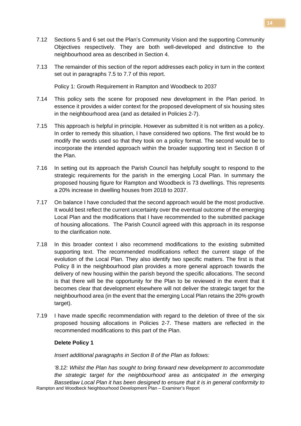- 7.12 Sections 5 and 6 set out the Plan's Community Vision and the supporting Community Objectives respectively. They are both well-developed and distinctive to the neighbourhood area as described in Section 4.
- 7.13 The remainder of this section of the report addresses each policy in turn in the context set out in paragraphs 7.5 to 7.7 of this report.

Policy 1: Growth Requirement in Rampton and Woodbeck to 2037

- 7.14 This policy sets the scene for proposed new development in the Plan period. In essence it provides a wider context for the proposed development of six housing sites in the neighbourhood area (and as detailed in Policies 2-7).
- 7.15 This approach is helpful in principle. However as submitted it is not written as a policy. In order to remedy this situation, I have considered two options. The first would be to modify the words used so that they took on a policy format. The second would be to incorporate the intended approach within the broader supporting text in Section 8 of the Plan.
- 7.16 In setting out its approach the Parish Council has helpfully sought to respond to the strategic requirements for the parish in the emerging Local Plan. In summary the proposed housing figure for Rampton and Woodbeck is 73 dwellings. This represents a 20% increase in dwelling houses from 2018 to 2037.
- 7.17 On balance I have concluded that the second approach would be the most productive. It would best reflect the current uncertainty over the eventual outcome of the emerging Local Plan and the modifications that I have recommended to the submitted package of housing allocations. The Parish Council agreed with this approach in its response to the clarification note.
- 7.18 In this broader context I also recommend modifications to the existing submitted supporting text. The recommended modifications reflect the current stage of the evolution of the Local Plan. They also identify two specific matters. The first is that Policy 8 in the neighbourhood plan provides a more general approach towards the delivery of new housing within the parish beyond the specific allocations. The second is that there will be the opportunity for the Plan to be reviewed in the event that it becomes clear that development elsewhere will not deliver the strategic target for the neighbourhood area (in the event that the emerging Local Plan retains the 20% growth target).
- 7.19 I have made specific recommendation with regard to the deletion of three of the six proposed housing allocations in Policies 2-7. These matters are reflected in the recommended modifications to this part of the Plan.

# **Delete Policy 1**

*Insert additional paragraphs in Section 8 of the Plan as follows:*

Rampton and Woodbeck Neighbourhood Development Plan – Examiner's Report *'8.12: Whilst the Plan has sought to bring forward new development to accommodate the strategic target for the neighbourhood area as anticipated in the emerging Bassetlaw Local Plan it has been designed to ensure that it is in general conformity to*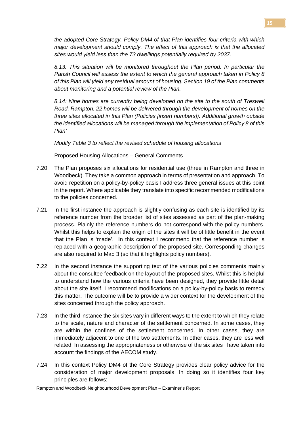*the adopted Core Strategy. Policy DM4 of that Plan identifies four criteria with which major development should comply. The effect of this approach is that the allocated sites would yield less than the 73 dwellings potentially required by 2037.* 

*8.13: This situation will be monitored throughout the Plan period. In particular the Parish Council will assess the extent to which the general approach taken in Policy 8 of this Plan will yield any residual amount of housing. Section 19 of the Plan comments about monitoring and a potential review of the Plan.* 

*8.14: Nine homes are currently being developed on the site to the south of Treswell Road, Rampton. 22 homes will be delivered through the development of homes on the three sites allocated in this Plan (Policies [insert numbers]). Additional growth outside the identified allocations will be managed through the implementation of Policy 8 of this Plan'*

*Modify Table 3 to reflect the revised schedule of housing allocations*

Proposed Housing Allocations – General Comments

- 7.20 The Plan proposes six allocations for residential use (three in Rampton and three in Woodbeck). They take a common approach in terms of presentation and approach. To avoid repetition on a policy-by-policy basis I address three general issues at this point in the report. Where applicable they translate into specific recommended modifications to the policies concerned.
- 7.21 In the first instance the approach is slightly confusing as each site is identified by its reference number from the broader list of sites assessed as part of the plan-making process. Plainly the reference numbers do not correspond with the policy numbers. Whilst this helps to explain the origin of the sites it will be of little benefit in the event that the Plan is 'made'. In this context I recommend that the reference number is replaced with a geographic description of the proposed site. Corresponding changes are also required to Map 3 (so that it highlights policy numbers).
- 7.22 In the second instance the supporting text of the various policies comments mainly about the consultee feedback on the layout of the proposed sites. Whilst this is helpful to understand how the various criteria have been designed, they provide little detail about the site itself. I recommend modifications on a policy-by-policy basis to remedy this matter. The outcome will be to provide a wider context for the development of the sites concerned through the policy approach.
- 7.23 In the third instance the six sites vary in different ways to the extent to which they relate to the scale, nature and character of the settlement concerned. In some cases, they are within the confines of the settlement concerned. In other cases, they are immediately adjacent to one of the two settlements. In other cases, they are less well related. In assessing the appropriateness or otherwise of the six sites I have taken into account the findings of the AECOM study.
- 7.24 In this context Policy DM4 of the Core Strategy provides clear policy advice for the consideration of major development proposals. In doing so it identifies four key principles are follows:

Rampton and Woodbeck Neighbourhood Development Plan – Examiner's Report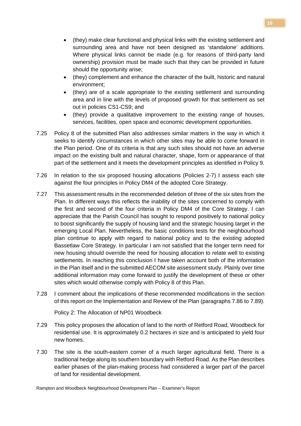- (they) make clear functional and physical links with the existing settlement and surrounding area and have not been designed as 'standalone' additions. Where physical links cannot be made (e.g. for reasons of third-party land ownership) provision must be made such that they can be provided in future should the opportunity arise;
- (they) complement and enhance the character of the built, historic and natural environment;
- (they) are of a scale appropriate to the existing settlement and surrounding area and in line with the levels of proposed growth for that settlement as set out in policies CS1-CS9; and
- (they) provide a qualitative improvement to the existing range of houses, services, facilities, open space and economic development opportunities.
- 7.25 Policy 8 of the submitted Plan also addresses similar matters in the way in which it seeks to identify circumstances in which other sites may be able to come forward in the Plan period. One of its criteria is that any such sites should not have an adverse impact on the existing built and natural character, shape, form or appearance of that part of the settlement and it meets the development principles as identified in Policy 9.
- 7.26 In relation to the six proposed housing allocations (Policies 2-7) I assess each site against the four principles in Policy DM4 of the adopted Core Strategy.
- 7.27 This assessment results in the recommended deletion of three of the six sites from the Plan. In different ways this reflects the inability of the sites concerned to comply with the first and second of the four criteria in Policy DM4 of the Core Strategy. I can appreciate that the Parish Council has sought to respond positively to national policy to boost significantly the supply of housing land and the strategic housing target in the emerging Local Plan. Nevertheless, the basic conditions tests for the neighbourhood plan continue to apply with regard to national policy and to the existing adopted Bassetlaw Core Strategy. In particular I am not satisfied that the longer term need for new housing should override the need for housing allocation to relate well to existing settlements. In reaching this conclusion I have taken account both of the information in the Plan itself and in the submitted AECOM site assessment study. Plainly over time additional information may come forward to justify the development of these or other sites which would otherwise comply with Policy 8 of this Plan.
- 7.28 I comment about the implications of these recommended modifications in the section of this report on the Implementation and Review of the Plan (paragraphs 7.86 to 7.89).

Policy 2: The Allocation of NP01 Woodbeck

- 7.29 This policy proposes the allocation of land to the north of Retford Road, Woodbeck for residential use. It is approximately 0.2 hectares in size and is anticipated to yield four new homes.
- 7.30 The site is the south-eastern corner of a much larger agricultural field. There is a traditional hedge along its southern boundary with Retford Road. As the Plan describes earlier phases of the plan-making process had considered a larger part of the parcel of land for residential development.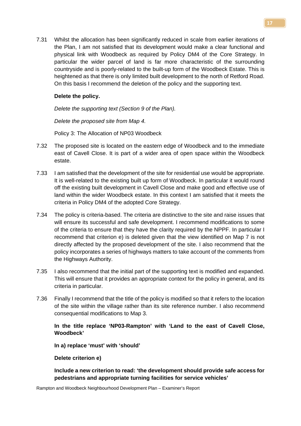7.31 Whilst the allocation has been significantly reduced in scale from earlier iterations of the Plan, I am not satisfied that its development would make a clear functional and physical link with Woodbeck as required by Policy DM4 of the Core Strategy. In particular the wider parcel of land is far more characteristic of the surrounding countryside and is poorly-related to the built-up form of the Woodbeck Estate. This is heightened as that there is only limited built development to the north of Retford Road. On this basis I recommend the deletion of the policy and the supporting text.

# **Delete the policy.**

*Delete the supporting text (Section 9 of the Plan).*

*Delete the proposed site from Map 4.*

Policy 3: The Allocation of NP03 Woodbeck

- 7.32 The proposed site is located on the eastern edge of Woodbeck and to the immediate east of Cavell Close. It is part of a wider area of open space within the Woodbeck estate.
- 7.33 I am satisfied that the development of the site for residential use would be appropriate. It is well-related to the existing built up form of Woodbeck. In particular it would round off the existing built development in Cavell Close and make good and effective use of land within the wider Woodbeck estate. In this context I am satisfied that it meets the criteria in Policy DM4 of the adopted Core Strategy.
- 7.34 The policy is criteria-based. The criteria are distinctive to the site and raise issues that will ensure its successful and safe development. I recommend modifications to some of the criteria to ensure that they have the clarity required by the NPPF. In particular I recommend that criterion e) is deleted given that the view identified on Map 7 is not directly affected by the proposed development of the site. I also recommend that the policy incorporates a series of highways matters to take account of the comments from the Highways Authority.
- 7.35 I also recommend that the initial part of the supporting text is modified and expanded. This will ensure that it provides an appropriate context for the policy in general, and its criteria in particular.
- 7.36 Finally I recommend that the title of the policy is modified so that it refers to the location of the site within the village rather than its site reference number. I also recommend consequential modifications to Map 3.

# **In the title replace 'NP03-Rampton' with 'Land to the east of Cavell Close, Woodbeck'**

**In a) replace 'must' with 'should'**

# **Delete criterion e)**

**Include a new criterion to read: 'the development should provide safe access for pedestrians and appropriate turning facilities for service vehicles'**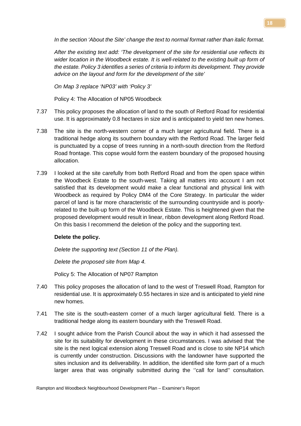*In the section 'About the Site' change the text to normal format rather than italic format.*

*After the existing text add: 'The development of the site for residential use reflects its wider location in the Woodbeck estate. It is well-related to the existing built up form of the estate. Policy 3 identifies a series of criteria to inform its development. They provide advice on the layout and form for the development of the site'*

*On Map 3 replace 'NP03' with 'Policy 3'*

Policy 4: The Allocation of NP05 Woodbeck

- 7.37 This policy proposes the allocation of land to the south of Retford Road for residential use. It is approximately 0.8 hectares in size and is anticipated to yield ten new homes.
- 7.38 The site is the north-western corner of a much larger agricultural field. There is a traditional hedge along its southern boundary with the Retford Road. The larger field is punctuated by a copse of trees running in a north-south direction from the Retford Road frontage. This copse would form the eastern boundary of the proposed housing allocation.
- 7.39 I looked at the site carefully from both Retford Road and from the open space within the Woodbeck Estate to the south-west. Taking all matters into account I am not satisfied that its development would make a clear functional and physical link with Woodbeck as required by Policy DM4 of the Core Strategy. In particular the wider parcel of land is far more characteristic of the surrounding countryside and is poorlyrelated to the built-up form of the Woodbeck Estate. This is heightened given that the proposed development would result in linear, ribbon development along Retford Road. On this basis I recommend the deletion of the policy and the supporting text.

# **Delete the policy.**

*Delete the supporting text (Section 11 of the Plan).*

*Delete the proposed site from Map 4.*

Policy 5: The Allocation of NP07 Rampton

- 7.40 This policy proposes the allocation of land to the west of Treswell Road, Rampton for residential use. It is approximately 0.55 hectares in size and is anticipated to yield nine new homes.
- 7.41 The site is the south-eastern corner of a much larger agricultural field. There is a traditional hedge along its eastern boundary with the Treswell Road.
- 7.42 I sought advice from the Parish Council about the way in which it had assessed the site for its suitability for development in these circumstances. I was advised that 'the site is the next logical extension along Treswell Road and is close to site NP14 which is currently under construction. Discussions with the landowner have supported the sites inclusion and its deliverability. In addition, the identified site form part of a much larger area that was originally submitted during the ''call for land'' consultation.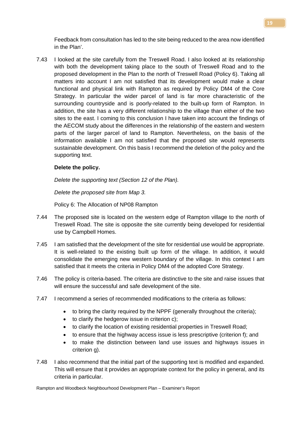Feedback from consultation has led to the site being reduced to the area now identified in the Plan'.

7.43 I looked at the site carefully from the Treswell Road. I also looked at its relationship with both the development taking place to the south of Treswell Road and to the proposed development in the Plan to the north of Treswell Road (Policy 6). Taking all matters into account I am not satisfied that its development would make a clear functional and physical link with Rampton as required by Policy DM4 of the Core Strategy. In particular the wider parcel of land is far more characteristic of the surrounding countryside and is poorly-related to the built-up form of Rampton. In addition, the site has a very different relationship to the village than either of the two sites to the east. I coming to this conclusion I have taken into account the findings of the AECOM study about the differences in the relationship of the eastern and western parts of the larger parcel of land to Rampton. Nevertheless, on the basis of the information available I am not satisfied that the proposed site would represents sustainable development. On this basis I recommend the deletion of the policy and the supporting text.

# **Delete the policy.**

*Delete the supporting text (Section 12 of the Plan).*

*Delete the proposed site from Map 3.*

Policy 6: The Allocation of NP08 Rampton

- 7.44 The proposed site is located on the western edge of Rampton village to the north of Treswell Road. The site is opposite the site currently being developed for residential use by Campbell Homes.
- 7.45 I am satisfied that the development of the site for residential use would be appropriate. It is well-related to the existing built up form of the village. In addition, it would consolidate the emerging new western boundary of the village. In this context I am satisfied that it meets the criteria in Policy DM4 of the adopted Core Strategy.
- 7.46 The policy is criteria-based. The criteria are distinctive to the site and raise issues that will ensure the successful and safe development of the site.
- 7.47 I recommend a series of recommended modifications to the criteria as follows:
	- to bring the clarity required by the NPPF (generally throughout the criteria);
	- to clarify the hedgerow issue in criterion c);
	- to clarify the location of existing residential properties in Treswell Road;
	- to ensure that the highway access issue is less prescriptive (criterion f); and
	- to make the distinction between land use issues and highways issues in criterion g).
- 7.48 I also recommend that the initial part of the supporting text is modified and expanded. This will ensure that it provides an appropriate context for the policy in general, and its criteria in particular.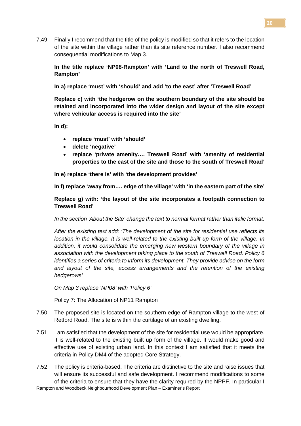7.49 Finally I recommend that the title of the policy is modified so that it refers to the location of the site within the village rather than its site reference number. I also recommend consequential modifications to Map 3.

**In the title replace 'NP08-Rampton' with 'Land to the north of Treswell Road, Rampton'**

**In a) replace 'must' with 'should' and add 'to the east' after 'Treswell Road'**

**Replace c) with 'the hedgerow on the southern boundary of the site should be retained and incorporated into the wider design and layout of the site except where vehicular access is required into the site'**

**In d):**

- **replace 'must' with 'should'**
- **delete 'negative'**
- **replace 'private amenity…. Treswell Road' with 'amenity of residential properties to the east of the site and those to the south of Treswell Road'**

**In e) replace 'there is' with 'the development provides'**

**In f) replace 'away from…. edge of the village' with 'in the eastern part of the site'**

**Replace g) with: 'the layout of the site incorporates a footpath connection to Treswell Road'**

*In the section 'About the Site' change the text to normal format rather than italic format.* 

*After the existing text add: 'The development of the site for residential use reflects its location in the village. It is well-related to the existing built up form of the village. In addition, it would consolidate the emerging new western boundary of the village in association with the development taking place to the south of Treswell Road. Policy 6 identifies a series of criteria to inform its development. They provide advice on the form and layout of the site, access arrangements and the retention of the existing hedgerows'*

*On Map 3 replace 'NP08' with 'Policy 6'*

Policy 7: The Allocation of NP11 Rampton

- 7.50 The proposed site is located on the southern edge of Rampton village to the west of Retford Road. The site is within the curtilage of an existing dwelling.
- 7.51 I am satisfied that the development of the site for residential use would be appropriate. It is well-related to the existing built up form of the village. It would make good and effective use of existing urban land. In this context I am satisfied that it meets the criteria in Policy DM4 of the adopted Core Strategy.
- Rampton and Woodbeck Neighbourhood Development Plan Examiner's Report 7.52 The policy is criteria-based. The criteria are distinctive to the site and raise issues that will ensure its successful and safe development. I recommend modifications to some of the criteria to ensure that they have the clarity required by the NPPF. In particular I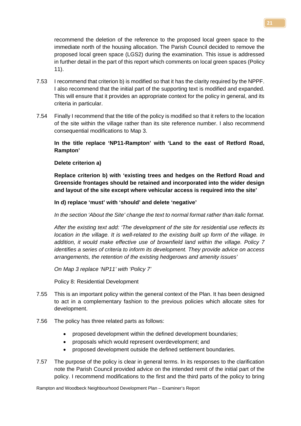recommend the deletion of the reference to the proposed local green space to the immediate north of the housing allocation. The Parish Council decided to remove the proposed local green space (LGS2) during the examination. This issue is addressed in further detail in the part of this report which comments on local green spaces (Policy 11).

- 7.53 I recommend that criterion b) is modified so that it has the clarity required by the NPPF. I also recommend that the initial part of the supporting text is modified and expanded. This will ensure that it provides an appropriate context for the policy in general, and its criteria in particular.
- 7.54 Finally I recommend that the title of the policy is modified so that it refers to the location of the site within the village rather than its site reference number. I also recommend consequential modifications to Map 3.

# **In the title replace 'NP11-Rampton' with 'Land to the east of Retford Road, Rampton'**

# **Delete criterion a)**

**Replace criterion b) with 'existing trees and hedges on the Retford Road and Greenside frontages should be retained and incorporated into the wider design and layout of the site except where vehicular access is required into the site'**

#### **In d) replace 'must' with 'should' and delete 'negative'**

*In the section 'About the Site' change the text to normal format rather than italic format.* 

*After the existing text add: 'The development of the site for residential use reflects its location in the village. It is well-related to the existing built up form of the village. In addition, it would make effective use of brownfield land within the village. Policy 7 identifies a series of criteria to inform its development. They provide advice on access arrangements, the retention of the existing hedgerows and amenity issues'*

*On Map 3 replace 'NP11' with 'Policy 7'*

Policy 8: Residential Development

- 7.55 This is an important policy within the general context of the Plan. It has been designed to act in a complementary fashion to the previous policies which allocate sites for development.
- 7.56 The policy has three related parts as follows:
	- proposed development within the defined development boundaries;
	- proposals which would represent overdevelopment; and
	- proposed development outside the defined settlement boundaries.
- 7.57 The purpose of the policy is clear in general terms. In its responses to the clarification note the Parish Council provided advice on the intended remit of the initial part of the policy. I recommend modifications to the first and the third parts of the policy to bring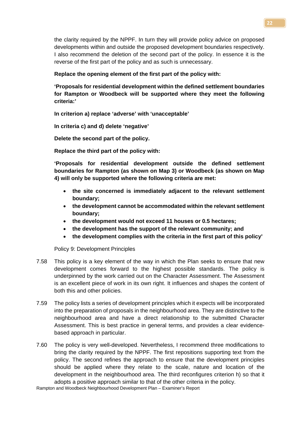the clarity required by the NPPF. In turn they will provide policy advice on proposed developments within and outside the proposed development boundaries respectively. I also recommend the deletion of the second part of the policy. In essence it is the reverse of the first part of the policy and as such is unnecessary.

**Replace the opening element of the first part of the policy with:** 

**'Proposals for residential development within the defined settlement boundaries for Rampton or Woodbeck will be supported where they meet the following criteria:'**

**In criterion a) replace 'adverse' with 'unacceptable'**

**In criteria c) and d) delete 'negative'**

**Delete the second part of the policy.**

**Replace the third part of the policy with:** 

**'Proposals for residential development outside the defined settlement boundaries for Rampton (as shown on Map 3) or Woodbeck (as shown on Map 4) will only be supported where the following criteria are met:**

- **the site concerned is immediately adjacent to the relevant settlement boundary;**
- **the development cannot be accommodated within the relevant settlement boundary;**
- **the development would not exceed 11 houses or 0.5 hectares;**
- **the development has the support of the relevant community; and**
- **the development complies with the criteria in the first part of this policy'**

Policy 9: Development Principles

- 7.58 This policy is a key element of the way in which the Plan seeks to ensure that new development comes forward to the highest possible standards. The policy is underpinned by the work carried out on the Character Assessment. The Assessment is an excellent piece of work in its own right. It influences and shapes the content of both this and other policies.
- 7.59 The policy lists a series of development principles which it expects will be incorporated into the preparation of proposals in the neighbourhood area. They are distinctive to the neighbourhood area and have a direct relationship to the submitted Character Assessment. This is best practice in general terms, and provides a clear evidencebased approach in particular.
- 7.60 The policy is very well-developed. Nevertheless, I recommend three modifications to bring the clarity required by the NPPF. The first repositions supporting text from the policy. The second refines the approach to ensure that the development principles should be applied where they relate to the scale, nature and location of the development in the neighbourhood area. The third reconfigures criterion h) so that it adopts a positive approach similar to that of the other criteria in the policy.

Rampton and Woodbeck Neighbourhood Development Plan – Examiner's Report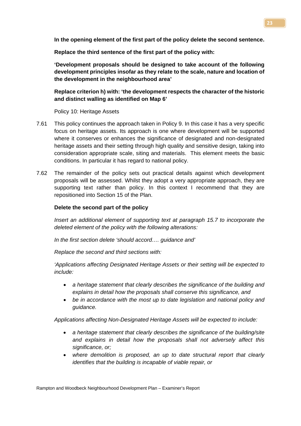**In the opening element of the first part of the policy delete the second sentence.**

**Replace the third sentence of the first part of the policy with:**

**'Development proposals should be designed to take account of the following development principles insofar as they relate to the scale, nature and location of the development in the neighbourhood area'**

**Replace criterion h) with: 'the development respects the character of the historic and distinct walling as identified on Map 6'**

Policy 10: Heritage Assets

- 7.61 This policy continues the approach taken in Policy 9. In this case it has a very specific focus on heritage assets. Its approach is one where development will be supported where it conserves or enhances the significance of designated and non-designated heritage assets and their setting through high quality and sensitive design, taking into consideration appropriate scale, siting and materials. This element meets the basic conditions. In particular it has regard to national policy.
- 7.62 The remainder of the policy sets out practical details against which development proposals will be assessed. Whilst they adopt a very appropriate approach, they are supporting text rather than policy. In this context I recommend that they are repositioned into Section 15 of the Plan.

#### **Delete the second part of the policy**

*Insert an additional element of supporting text at paragraph 15.7 to incorporate the deleted element of the policy with the following alterations:*

*In the first section delete 'should accord…. guidance and'*

*Replace the second and third sections with:*

*'Applications affecting Designated Heritage Assets or their setting will be expected to include:* 

- *a heritage statement that clearly describes the significance of the building and explains in detail how the proposals shall conserve this significance, and*
- *be in accordance with the most up to date legislation and national policy and guidance.*

*Applications affecting Non-Designated Heritage Assets will be expected to include:* 

- *a heritage statement that clearly describes the significance of the building/site and explains in detail how the proposals shall not adversely affect this significance, or;*
- *where demolition is proposed, an up to date structural report that clearly identifies that the building is incapable of viable repair, or*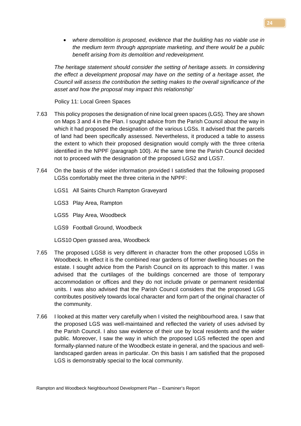• *where demolition is proposed, evidence that the building has no viable use in the medium term through appropriate marketing, and there would be a public benefit arising from its demolition and redevelopment.*

*The heritage statement should consider the setting of heritage assets. In considering the effect a development proposal may have on the setting of a heritage asset, the Council will assess the contribution the setting makes to the overall significance of the asset and how the proposal may impact this relationship'*

Policy 11: Local Green Spaces

- 7.63 This policy proposes the designation of nine local green spaces (LGS). They are shown on Maps 3 and 4 in the Plan. I sought advice from the Parish Council about the way in which it had proposed the designation of the various LGSs. It advised that the parcels of land had been specifically assessed. Nevertheless, it produced a table to assess the extent to which their proposed designation would comply with the three criteria identified in the NPPF (paragraph 100). At the same time the Parish Council decided not to proceed with the designation of the proposed LGS2 and LGS7.
- 7.64 On the basis of the wider information provided I satisfied that the following proposed LGSs comfortably meet the three criteria in the NPPF:
	- LGS1 All Saints Church Rampton Graveyard
	- LGS3 Play Area, Rampton
	- LGS5 Play Area, Woodbeck
	- LGS9 Football Ground, Woodbeck
	- LGS10 Open grassed area, Woodbeck
- 7.65 The proposed LGS8 is very different in character from the other proposed LGSs in Woodbeck. In effect it is the combined rear gardens of former dwelling houses on the estate. I sought advice from the Parish Council on its approach to this matter. I was advised that the curtilages of the buildings concerned are those of temporary accommodation or offices and they do not include private or permanent residential units. I was also advised that the Parish Council considers that the proposed LGS contributes positively towards local character and form part of the original character of the community.
- 7.66 I looked at this matter very carefully when I visited the neighbourhood area. I saw that the proposed LGS was well-maintained and reflected the variety of uses advised by the Parish Council. I also saw evidence of their use by local residents and the wider public. Moreover, I saw the way in which the proposed LGS reflected the open and formally-planned nature of the Woodbeck estate in general, and the spacious and welllandscaped garden areas in particular. On this basis I am satisfied that the proposed LGS is demonstrably special to the local community.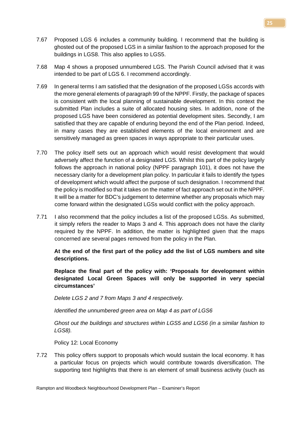- 7.67 Proposed LGS 6 includes a community building. I recommend that the building is ghosted out of the proposed LGS in a similar fashion to the approach proposed for the buildings in LGS8. This also applies to LGS5.
- 7.68 Map 4 shows a proposed unnumbered LGS. The Parish Council advised that it was intended to be part of LGS 6. I recommend accordingly.
- 7.69 In general terms I am satisfied that the designation of the proposed LGSs accords with the more general elements of paragraph 99 of the NPPF. Firstly, the package of spaces is consistent with the local planning of sustainable development. In this context the submitted Plan includes a suite of allocated housing sites. In addition, none of the proposed LGS have been considered as potential development sites. Secondly, I am satisfied that they are capable of enduring beyond the end of the Plan period. Indeed, in many cases they are established elements of the local environment and are sensitively managed as green spaces in ways appropriate to their particular uses.
- 7.70 The policy itself sets out an approach which would resist development that would adversely affect the function of a designated LGS. Whilst this part of the policy largely follows the approach in national policy (NPPF paragraph 101), it does not have the necessary clarity for a development plan policy. In particular it fails to identify the types of development which would affect the purpose of such designation. I recommend that the policy is modified so that it takes on the matter of fact approach set out in the NPPF. It will be a matter for BDC's judgement to determine whether any proposals which may come forward within the designated LGSs would conflict with the policy approach.
- 7.71 I also recommend that the policy includes a list of the proposed LGSs. As submitted, it simply refers the reader to Maps 3 and 4. This approach does not have the clarity required by the NPPF. In addition, the matter is highlighted given that the maps concerned are several pages removed from the policy in the Plan.

**At the end of the first part of the policy add the list of LGS numbers and site descriptions.**

**Replace the final part of the policy with: 'Proposals for development within designated Local Green Spaces will only be supported in very special circumstances'**

*Delete LGS 2 and 7 from Maps 3 and 4 respectively.*

*Identified the unnumbered green area on Map 4 as part of LGS6*

*Ghost out the buildings and structures within LGS5 and LGS6 (in a similar fashion to LGS8).*

Policy 12: Local Economy

7.72 This policy offers support to proposals which would sustain the local economy. It has a particular focus on projects which would contribute towards diversification. The supporting text highlights that there is an element of small business activity (such as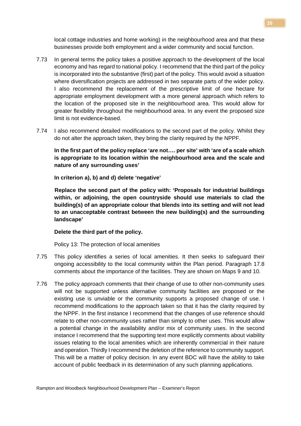local cottage industries and home working) in the neighbourhood area and that these businesses provide both employment and a wider community and social function.

- 7.73 In general terms the policy takes a positive approach to the development of the local economy and has regard to national policy. I recommend that the third part of the policy is incorporated into the substantive (first) part of the policy. This would avoid a situation where diversification projects are addressed in two separate parts of the wider policy. I also recommend the replacement of the prescriptive limit of one hectare for appropriate employment development with a more general approach which refers to the location of the proposed site in the neighbourhood area. This would allow for greater flexibility throughout the neighbourhood area. In any event the proposed size limit is not evidence-based.
- 7.74 I also recommend detailed modifications to the second part of the policy. Whilst they do not alter the approach taken, they bring the clarity required by the NPPF.

**In the first part of the policy replace 'are not…. per site' with 'are of a scale which is appropriate to its location within the neighbourhood area and the scale and nature of any surrounding uses'**

**In criterion a), b) and d) delete 'negative'**

**Replace the second part of the policy with: 'Proposals for industrial buildings within, or adjoining, the open countryside should use materials to clad the building(s) of an appropriate colour that blends into its setting and will not lead to an unacceptable contrast between the new building(s) and the surrounding landscape'**

#### **Delete the third part of the policy.**

Policy 13: The protection of local amenities

- 7.75 This policy identifies a series of local amenities. It then seeks to safeguard their ongoing accessibility to the local community within the Plan period. Paragraph 17.8 comments about the importance of the facilities. They are shown on Maps 9 and 10.
- 7.76 The policy approach comments that their change of use to other non-community uses will not be supported unless alternative community facilities are proposed or the existing use is unviable or the community supports a proposed change of use. I recommend modifications to the approach taken so that it has the clarity required by the NPPF. In the first instance I recommend that the changes of use reference should relate to other non-community uses rather than simply to other uses. This would allow a potential change in the availability and/or mix of community uses. In the second instance I recommend that the supporting text more explicitly comments about viability issues relating to the local amenities which are inherently commercial in their nature and operation. Thirdly I recommend the deletion of the reference to community support. This will be a matter of policy decision. In any event BDC will have the ability to take account of public feedback in its determination of any such planning applications.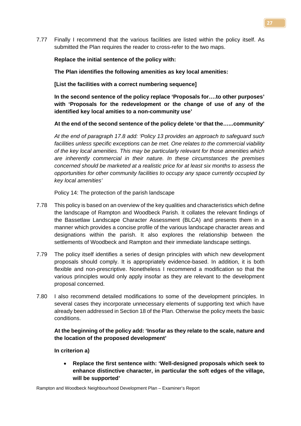7.77 Finally I recommend that the various facilities are listed within the policy itself. As submitted the Plan requires the reader to cross-refer to the two maps.

# **Replace the initial sentence of the policy with:**

**The Plan identifies the following amenities as key local amenities:**

**[List the facilities with a correct numbering sequence]**

**In the second sentence of the policy replace 'Proposals for….to other purposes' with 'Proposals for the redevelopment or the change of use of any of the identified key local amities to a non-community use'**

# **At the end of the second sentence of the policy delete 'or that the…...community'**

*At the end of paragraph 17.8 add: 'Policy 13 provides an approach to safeguard such facilities unless specific exceptions can be met. One relates to the commercial viability of the key local amenities. This may be particularly relevant for those amenities which are inherently commercial in their nature. In these circumstances the premises concerned should be marketed at a realistic price for at least six months to assess the opportunities for other community facilities to occupy any space currently occupied by key local amenities'* 

Policy 14: The protection of the parish landscape

- 7.78 This policy is based on an overview of the key qualities and characteristics which define the landscape of Rampton and Woodbeck Parish. It collates the relevant findings of the Bassetlaw Landscape Character Assessment (BLCA) and presents them in a manner which provides a concise profile of the various landscape character areas and designations within the parish. It also explores the relationship between the settlements of Woodbeck and Rampton and their immediate landscape settings.
- 7.79 The policy itself identifies a series of design principles with which new development proposals should comply. It is appropriately evidence-based. In addition, it is both flexible and non-prescriptive. Nonetheless I recommend a modification so that the various principles would only apply insofar as they are relevant to the development proposal concerned.
- 7.80 I also recommend detailed modifications to some of the development principles. In several cases they incorporate unnecessary elements of supporting text which have already been addressed in Section 18 of the Plan. Otherwise the policy meets the basic conditions.

# **At the beginning of the policy add: 'Insofar as they relate to the scale, nature and the location of the proposed development'**

**In criterion a)**

• **Replace the first sentence with: 'Well-designed proposals which seek to enhance distinctive character, in particular the soft edges of the village, will be supported'**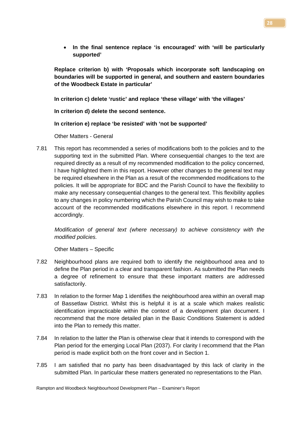• **In the final sentence replace 'is encouraged' with 'will be particularly supported'**

**Replace criterion b) with 'Proposals which incorporate soft landscaping on boundaries will be supported in general, and southern and eastern boundaries of the Woodbeck Estate in particular'**

**In criterion c) delete 'rustic' and replace 'these village' with 'the villages'**

**In criterion d) delete the second sentence.** 

**In criterion e) replace 'be resisted' with 'not be supported'**

Other Matters - General

7.81 This report has recommended a series of modifications both to the policies and to the supporting text in the submitted Plan. Where consequential changes to the text are required directly as a result of my recommended modification to the policy concerned, I have highlighted them in this report. However other changes to the general text may be required elsewhere in the Plan as a result of the recommended modifications to the policies. It will be appropriate for BDC and the Parish Council to have the flexibility to make any necessary consequential changes to the general text. This flexibility applies to any changes in policy numbering which the Parish Council may wish to make to take account of the recommended modifications elsewhere in this report. I recommend accordingly.

*Modification of general text (where necessary) to achieve consistency with the modified policies.*

Other Matters – Specific

- 7.82 Neighbourhood plans are required both to identify the neighbourhood area and to define the Plan period in a clear and transparent fashion. As submitted the Plan needs a degree of refinement to ensure that these important matters are addressed satisfactorily.
- 7.83 In relation to the former Map 1 identifies the neighbourhood area within an overall map of Bassetlaw District. Whilst this is helpful it is at a scale which makes realistic identification impracticable within the context of a development plan document. I recommend that the more detailed plan in the Basic Conditions Statement is added into the Plan to remedy this matter.
- 7.84 In relation to the latter the Plan is otherwise clear that it intends to correspond with the Plan period for the emerging Local Plan (2037). For clarity I recommend that the Plan period is made explicit both on the front cover and in Section 1.
- 7.85 I am satisfied that no party has been disadvantaged by this lack of clarity in the submitted Plan. In particular these matters generated no representations to the Plan.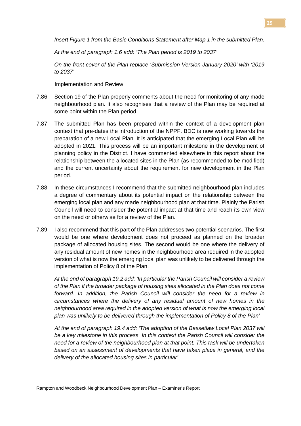*Insert Figure 1 from the Basic Conditions Statement after Map 1 in the submitted Plan.* 

*At the end of paragraph 1.6 add: 'The Plan period is 2019 to 2037'*

*On the front cover of the Plan replace 'Submission Version January 2020' with '2019 to 2037'*

Implementation and Review

- 7.86 Section 19 of the Plan properly comments about the need for monitoring of any made neighbourhood plan. It also recognises that a review of the Plan may be required at some point within the Plan period.
- 7.87 The submitted Plan has been prepared within the context of a development plan context that pre-dates the introduction of the NPPF. BDC is now working towards the preparation of a new Local Plan. It is anticipated that the emerging Local Plan will be adopted in 2021. This process will be an important milestone in the development of planning policy in the District. I have commented elsewhere in this report about the relationship between the allocated sites in the Plan (as recommended to be modified) and the current uncertainty about the requirement for new development in the Plan period.
- 7.88 In these circumstances I recommend that the submitted neighbourhood plan includes a degree of commentary about its potential impact on the relationship between the emerging local plan and any made neighbourhood plan at that time. Plainly the Parish Council will need to consider the potential impact at that time and reach its own view on the need or otherwise for a review of the Plan.
- 7.89 I also recommend that this part of the Plan addresses two potential scenarios. The first would be one where development does not proceed as planned on the broader package of allocated housing sites. The second would be one where the delivery of any residual amount of new homes in the neighbourhood area required in the adopted version of what is now the emerging local plan was unlikely to be delivered through the implementation of Policy 8 of the Plan.

*At the end of paragraph 19.2 add: 'In particular the Parish Council will consider a review of the Plan if the broader package of housing sites allocated in the Plan does not come forward. In addition, the Parish Council will consider the need for a review in circumstances where the delivery of any residual amount of new homes in the neighbourhood area required in the adopted version of what is now the emerging local plan was unlikely to be delivered through the implementation of Policy 8 of the Plan'*

*At the end of paragraph 19.4 add: 'The adoption of the Bassetlaw Local Plan 2037 will be a key milestone in this process. In this context the Parish Council will consider the need for a review of the neighbourhood plan at that point. This task will be undertaken based on an assessment of developments that have taken place in general, and the delivery of the allocated housing sites in particular'*